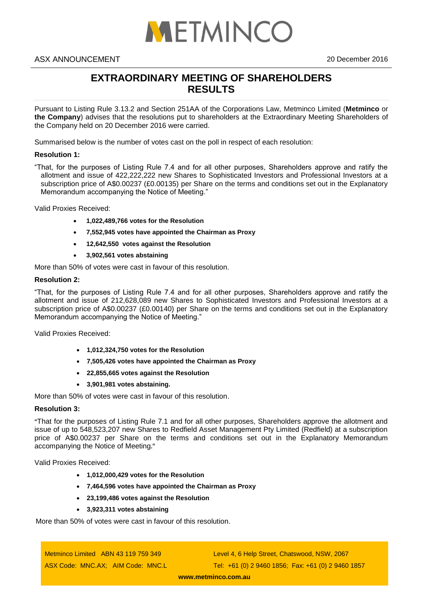

# **EXTRAORDINARY MEETING OF SHAREHOLDERS RESULTS**

Pursuant to Listing Rule 3.13.2 and Section 251AA of the Corporations Law, Metminco Limited (**Metminco** or **the Company**) advises that the resolutions put to shareholders at the Extraordinary Meeting Shareholders of the Company held on 20 December 2016 were carried.

Summarised below is the number of votes cast on the poll in respect of each resolution:

## **Resolution 1:**

"That, for the purposes of Listing Rule 7.4 and for all other purposes, Shareholders approve and ratify the allotment and issue of 422,222,222 new Shares to Sophisticated Investors and Professional Investors at a subscription price of A\$0.00237 (£0.00135) per Share on the terms and conditions set out in the Explanatory Memorandum accompanying the Notice of Meeting."

Valid Proxies Received:

- **1,022,489,766 votes for the Resolution**
- **7,552,945 votes have appointed the Chairman as Proxy**
- **12,642,550 votes against the Resolution**
- **3,902,561 votes abstaining**

More than 50% of votes were cast in favour of this resolution.

# **Resolution 2:**

"That, for the purposes of Listing Rule 7.4 and for all other purposes, Shareholders approve and ratify the allotment and issue of 212,628,089 new Shares to Sophisticated Investors and Professional Investors at a subscription price of A\$0.00237 (£0.00140) per Share on the terms and conditions set out in the Explanatory Memorandum accompanying the Notice of Meeting."

Valid Proxies Received:

- **1,012,324,750 votes for the Resolution**
- **7,505,426 votes have appointed the Chairman as Proxy**
- **22,855,665 votes against the Resolution**
- **3,901,981 votes abstaining.**

More than 50% of votes were cast in favour of this resolution.

### **Resolution 3:**

**"**That for the purposes of Listing Rule 7.1 and for all other purposes, Shareholders approve the allotment and issue of up to 548,523,207 new Shares to Redfield Asset Management Pty Limited (Redfield) at a subscription price of A\$0.00237 per Share on the terms and conditions set out in the Explanatory Memorandum accompanying the Notice of Meeting**."**

Valid Proxies Received:

- **1,012,000,429 votes for the Resolution**
- **7,464,596 votes have appointed the Chairman as Proxy**
- **23,199,486 votes against the Resolution**
- **3,923,311 votes abstaining**

More than 50% of votes were cast in favour of this resolution.

Metminco Limited ABN 43 119 759 349 ASX Code: MNC.AX; AIM Code: MNC.L Level 4, 6 Help Street, Chatswood, NSW, 2067 Tel: +61 (0) 2 9460 1856; Fax: +61 (0) 2 9460 1857

**[www.metminco.com.au](http://www.metminco.com.au/)**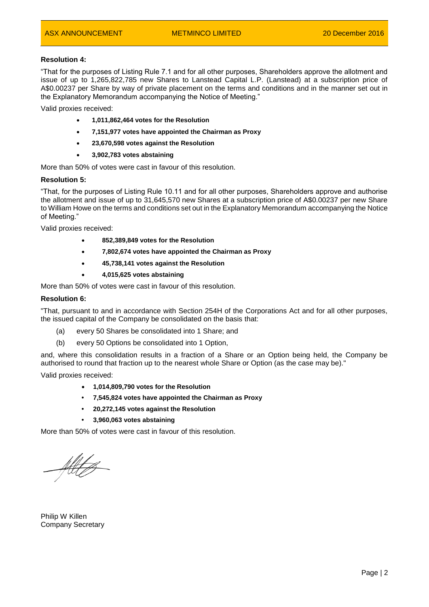# **Resolution 4:**

"That for the purposes of Listing Rule 7.1 and for all other purposes, Shareholders approve the allotment and issue of up to 1,265,822,785 new Shares to Lanstead Capital L.P. (Lanstead) at a subscription price of A\$0.00237 per Share by way of private placement on the terms and conditions and in the manner set out in the Explanatory Memorandum accompanying the Notice of Meeting."

Valid proxies received:

- **1,011,862,464 votes for the Resolution**
- **7,151,977 votes have appointed the Chairman as Proxy**
- **23,670,598 votes against the Resolution**
- **3,902,783 votes abstaining**

More than 50% of votes were cast in favour of this resolution.

#### **Resolution 5:**

"That, for the purposes of Listing Rule 10.11 and for all other purposes, Shareholders approve and authorise the allotment and issue of up to 31,645,570 new Shares at a subscription price of A\$0.00237 per new Share to William Howe on the terms and conditions set out in the Explanatory Memorandum accompanying the Notice of Meeting."

Valid proxies received:

- **852,389,849 votes for the Resolution**
- **7,802,674 votes have appointed the Chairman as Proxy**
- **45,738,141 votes against the Resolution**
- **4,015,625 votes abstaining**

More than 50% of votes were cast in favour of this resolution.

#### **Resolution 6:**

"That, pursuant to and in accordance with Section 254H of the Corporations Act and for all other purposes, the issued capital of the Company be consolidated on the basis that:

- (a) every 50 Shares be consolidated into 1 Share; and
- (b) every 50 Options be consolidated into 1 Option,

and, where this consolidation results in a fraction of a Share or an Option being held, the Company be authorised to round that fraction up to the nearest whole Share or Option (as the case may be)."

Valid proxies received:

- **1,014,809,790 votes for the Resolution**
- **• 7,545,824 votes have appointed the Chairman as Proxy**
- **• 20,272,145 votes against the Resolution**
- **• 3,960,063 votes abstaining**

More than 50% of votes were cast in favour of this resolution.

All C

Philip W Killen Company Secretary